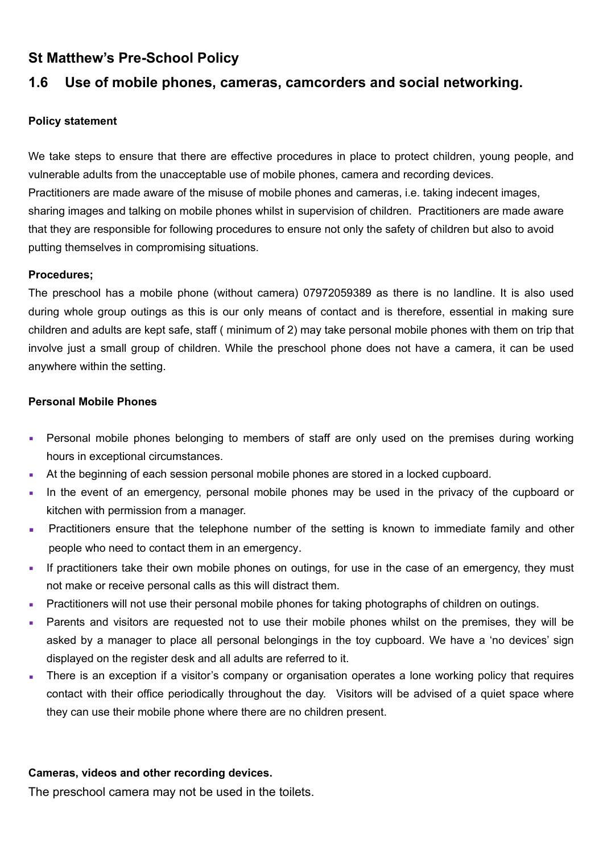## **St Matthew's Pre-School Policy**

# **1.6 Use of mobile phones, cameras, camcorders and social networking.**

### **Policy statement**

We take steps to ensure that there are effective procedures in place to protect children, young people, and vulnerable adults from the unacceptable use of mobile phones, camera and recording devices. Practitioners are made aware of the misuse of mobile phones and cameras, i.e. taking indecent images, sharing images and talking on mobile phones whilst in supervision of children. Practitioners are made aware that they are responsible for following procedures to ensure not only the safety of children but also to avoid putting themselves in compromising situations.

### **Procedures;**

The preschool has a mobile phone (without camera) 07972059389 as there is no landline. It is also used during whole group outings as this is our only means of contact and is therefore, essential in making sure children and adults are kept safe, staff ( minimum of 2) may take personal mobile phones with them on trip that involve just a small group of children. While the preschool phone does not have a camera, it can be used anywhere within the setting.

### **Personal Mobile Phones**

- **•** Personal mobile phones belonging to members of staff are only used on the premises during working hours in exceptional circumstances.
- At the beginning of each session personal mobile phones are stored in a locked cupboard.
- In the event of an emergency, personal mobile phones may be used in the privacy of the cupboard or kitchen with permission from a manager.
- **•** Practitioners ensure that the telephone number of the setting is known to immediate family and other people who need to contact them in an emergency.
- **.** If practitioners take their own mobile phones on outings, for use in the case of an emergency, they must not make or receive personal calls as this will distract them.
- Practitioners will not use their personal mobile phones for taking photographs of children on outings.
- Parents and visitors are requested not to use their mobile phones whilst on the premises, they will be asked by a manager to place all personal belongings in the toy cupboard. We have a 'no devices' sign displayed on the register desk and all adults are referred to it.
- There is an exception if a visitor's company or organisation operates a lone working policy that requires contact with their office periodically throughout the day. Visitors will be advised of a quiet space where they can use their mobile phone where there are no children present.

## **Cameras, videos and other recording devices.**

The preschool camera may not be used in the toilets.